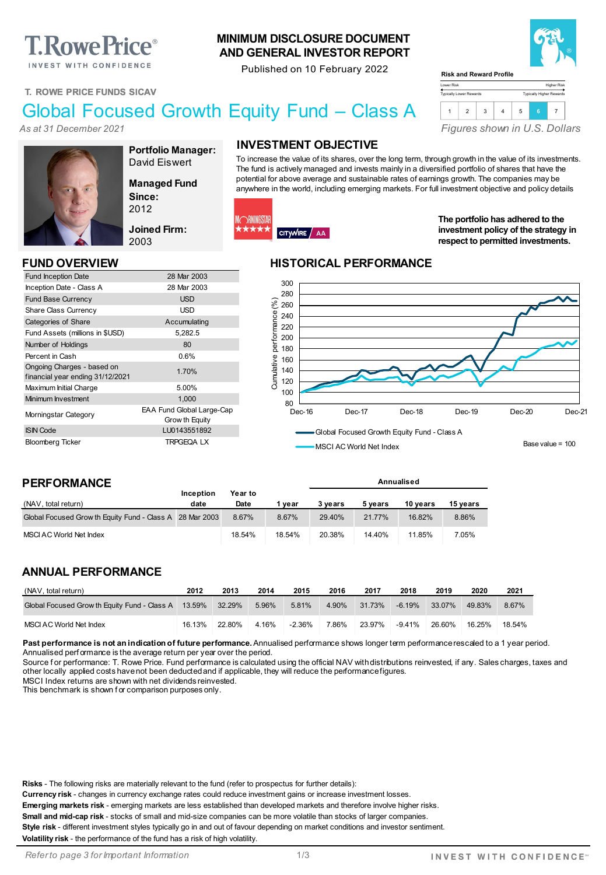# **T. Rowe Price**®

INVEST WITH CONFIDENCE

### **MINIMUM DISCLOSURE DOCUMENT AND GENERAL INVESTOR REPORT**

Published on 10 February 2022



# Global Focused Growth Equity Fund – Class A

*As at 31 December 2021*



**Portfolio Manager:** David Eiswert

**Managed Fund Since:** 2012

**Joined Firm:** 2003

Grow th Equity

Fund Inception Date 28 Mar 2003 Inception Date - Class A 28 Mar 2003 Fund Base Currency **Example 20 SO EXAMPLE 2018** Share Class Currency **USD** Categories of Share Accumulating Fund Assets (millions in \$USD) 5,282.5 Number of Holdings 80 Percent in Cash 0.6%

In understanding Unarges - based on<br>
financial year ending 31/12/2021 Maximum Initial Charge 5.00% Minimum Investment 1,000 Morningstar Category EAA Fund Global Large-Cap

ISIN Code LU0143551892 Bloomberg Ticker TRPGEQA LX

# **INVESTMENT OBJECTIVE**

To increase the value of its shares, over the long term, through growth in the value of its investments. The fund is actively managed and invests mainly in a diversified portfolio of shares that have the potential for above average and sustainable rates of earnings growth. The companies may be anywhere in the world, including emerging markets. For full investment objective and policy details

Lower Risk Typically Lower Rewards

**Risk and Reward Profile**



**The portfolio has adhered to the investment policy of the strategy in** 

*Figures shown in U.S. Dollars*

1 2 3 4 5 **<sup>6</sup>** <sup>7</sup>

### **FUND OVERVIEW HISTORICAL PERFORMANCE**



MSCI AC World Net Index

**Annualised**

Base value = 100

### **PERFORMANCE**

Ongoing Charges - based on

|                                                          | <b>Inception</b> | Year to |        |         |         |          |          |
|----------------------------------------------------------|------------------|---------|--------|---------|---------|----------|----------|
| (NAV, total return)                                      | date             | Date    | vear   | 3 vears | 5 vears | 10 vears | 15 vears |
| Global Focused Grow th Equity Fund - Class A 28 Mar 2003 |                  | 8.67%   | 8.67%  | 29.40%  | 21.77%  | 16.82%   | 8.86%    |
| MSCI AC World Net Index                                  |                  | 18.54%  | 18.54% | 20.38%  | 14.40%  | 11.85%   | 7.05%    |

### **ANNUAL PERFORMANCE**

| (NAV, total return)                                        | 2012   | 2013   | 2014  | 2015     | 2016  | 2017   | 2018      | 2019   | 2020   | 2021   |
|------------------------------------------------------------|--------|--------|-------|----------|-------|--------|-----------|--------|--------|--------|
| Global Focused Grow th Equity Fund - Class A 13.59% 32.29% |        |        | 5.96% | 5.81%    | 4.90% | 31.73% | -6.19%    | 33.07% | 49.83% | 8.67%  |
| MSCI AC World Net Index                                    | 16.13% | 22.80% | 4.16% | $-2.36%$ | 7.86% | 23.97% | $-9.41\%$ | 26.60% | 16.25% | 18.54% |

Past performance is not an indication of future performance. Annualised performance shows longer term performance rescaled to a 1 year period. Annualised perf ormance is the average return per year over the period.

Source for performance: T. Rowe Price. Fund performance is calculated using the official NAV with distributions reinvested, if any. Sales charges, taxes and other locally applied costs have not been deducted and if applicable, they will reduce the performance figures.

MSCI Index returns are shown with net dividends reinvested.

This benchmark is shown f or comparison purposes only.

**Risks** - The following risks are materially relevant to the fund (refer to prospectus for further details):

**Currency risk** - changes in currency exchange rates could reduce investment gains or increase investment losses.

**Emerging markets risk** - emerging markets are less established than developed markets and therefore involve higher risks. **Small and mid-cap risk** - stocks of small and mid-size companies can be more volatile than stocks of larger companies.

**Style risk** - different investment styles typically go in and out of favour depending on market conditions and investor sentiment.

**Volatility risk** - the performance of the fund has a risk of high volatility.

*Refer to page 3 for Important Information*



Higher Risk Typically Higher Rewards

ł \*\*\*\*







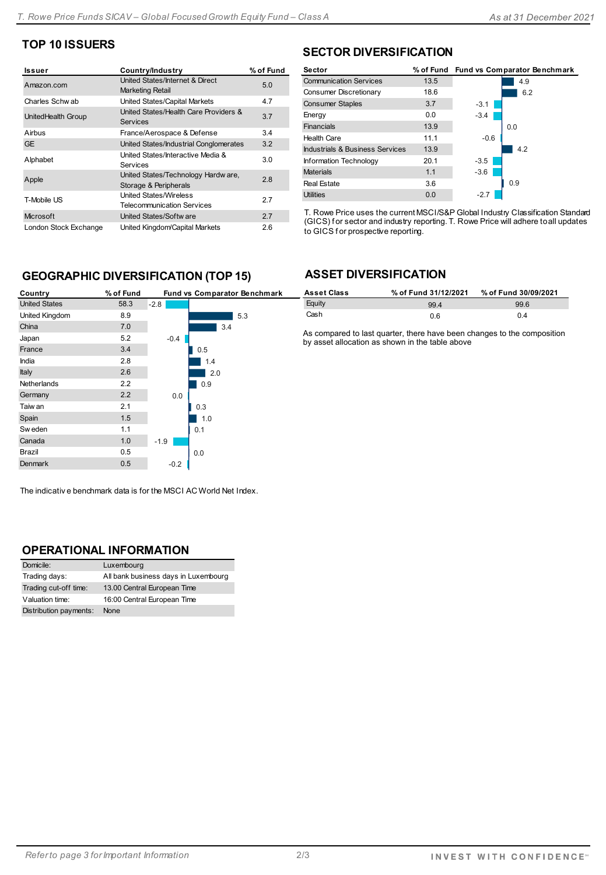# **TOP 10 ISSUERS**

| Issuer                | Country/Industry                                                   | % of Fund |
|-----------------------|--------------------------------------------------------------------|-----------|
| Amazon.com            | United States/Internet & Direct<br><b>Marketing Retail</b>         | 5.0       |
| Charles Schwab        | United States/Capital Markets                                      | 4.7       |
| UnitedHealth Group    | United States/Health Care Providers &<br><b>Services</b>           | 3.7       |
| Airbus                | France/Aerospace & Defense                                         | 3.4       |
| <b>GE</b>             | United States/Industrial Conglomerates                             | 3.2       |
| Alphabet              | United States/Interactive Media &<br>Services                      | 3.0       |
| Apple                 | United States/Technology Hardw are,<br>Storage & Peripherals       | 2.8       |
| T-Mobile US           | <b>United States/Wireless</b><br><b>Telecommunication Services</b> | 2.7       |
| Microsoft             | United States/Softw are                                            | 2.7       |
| London Stock Exchange | United Kingdom/Capital Markets                                     | 2.6       |

# **SECTOR DIVERSIFICATION**

| 13.5 |        | 4.9                                    |
|------|--------|----------------------------------------|
| 18.6 |        | 6.2                                    |
| 3.7  | $-3.1$ |                                        |
| 0.0  | $-3.4$ |                                        |
| 13.9 |        | 0.0                                    |
| 11.1 | $-0.6$ |                                        |
| 13.9 |        | 4.2                                    |
| 20.1 | $-3.5$ |                                        |
| 1.1  | $-3.6$ |                                        |
| 3.6  |        | 0.9                                    |
| 0.0  | $-2.7$ |                                        |
|      |        | % of Fund Fund vs Comparator Benchmark |

T. Rowe Price uses the current MSCI/S&P Global Industry Classification Standard (GICS) f or sector and industry reporting. T. Rowe Price will adhere to all updates to GICS for prospective reporting.

## **GEOGRAPHIC DIVERSIFICATION (TOP 15)**

| Country              | % of Fund |        | Fund vs Comparator Benchmark |
|----------------------|-----------|--------|------------------------------|
| <b>United States</b> | 58.3      | $-2.8$ |                              |
| United Kingdom       | 8.9       |        | 5.3                          |
| China                | 7.0       |        | 3.4                          |
| Japan                | 5.2       | $-0.4$ |                              |
| France               | 3.4       |        | 0.5                          |
| India                | 2.8       |        | 1.4                          |
| Italy                | 2.6       |        | 2.0                          |
| Netherlands          | 2.2       |        | 0.9                          |
| Germany              | 2.2       | 0.0    |                              |
| Taiw an              | 2.1       |        | 0.3                          |
| Spain                | 1.5       |        | 1.0                          |
| Sw eden              | 1.1       |        | 0.1                          |
| Canada               | 1.0       | $-1.9$ |                              |
| Brazil               | 0.5       |        | 0.0                          |
| <b>Denmark</b>       | 0.5       | $-0.2$ |                              |
|                      |           |        |                              |

## **ASSET DIVERSIFICATION**

| <b>Asset Class</b> | % of Fund 31/12/2021 | % of Fund 30/09/2021 |
|--------------------|----------------------|----------------------|
| Equity             | 994                  | 99.6                 |
| Cash               | 0.6                  | 0.4                  |

As compared to last quarter, there have been changes to the composition by asset allocation as shown in the table above

The indicativ e benchmark data is for the MSCI AC World Net Index.

### **OPERATIONAL INFORMATION**

| Domicile:              | Luxembourg                           |
|------------------------|--------------------------------------|
| Trading days:          | All bank business days in Luxembourg |
| Trading cut-off time:  | 13.00 Central European Time          |
| Valuation time:        | 16:00 Central European Time          |
| Distribution payments: | None                                 |